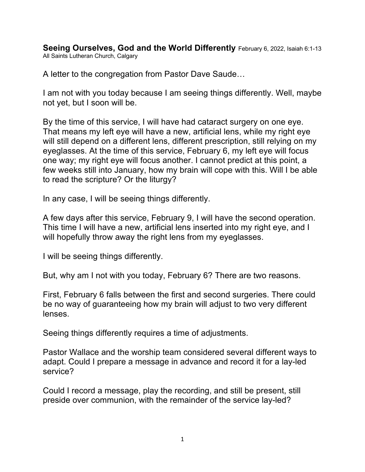**Seeing Ourselves, God and the World Differently** February 6, 2022, Isaiah 6:1-13 All Saints Lutheran Church, Calgary

A letter to the congregation from Pastor Dave Saude…

I am not with you today because I am seeing things differently. Well, maybe not yet, but I soon will be.

By the time of this service, I will have had cataract surgery on one eye. That means my left eye will have a new, artificial lens, while my right eye will still depend on a different lens, different prescription, still relying on my eyeglasses. At the time of this service, February 6, my left eye will focus one way; my right eye will focus another. I cannot predict at this point, a few weeks still into January, how my brain will cope with this. Will I be able to read the scripture? Or the liturgy?

In any case, I will be seeing things differently.

A few days after this service, February 9, I will have the second operation. This time I will have a new, artificial lens inserted into my right eye, and I will hopefully throw away the right lens from my eyeglasses.

I will be seeing things differently.

But, why am I not with you today, February 6? There are two reasons.

First, February 6 falls between the first and second surgeries. There could be no way of guaranteeing how my brain will adjust to two very different lenses.

Seeing things differently requires a time of adjustments.

Pastor Wallace and the worship team considered several different ways to adapt. Could I prepare a message in advance and record it for a lay-led service?

Could I record a message, play the recording, and still be present, still preside over communion, with the remainder of the service lay-led?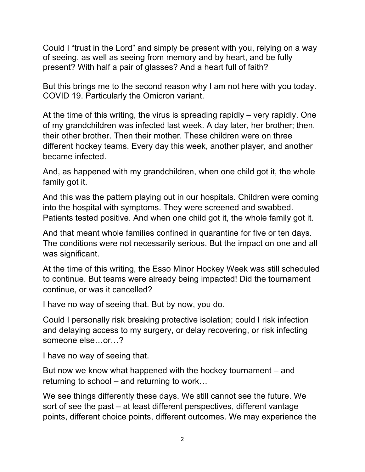Could I "trust in the Lord" and simply be present with you, relying on a way of seeing, as well as seeing from memory and by heart, and be fully present? With half a pair of glasses? And a heart full of faith?

But this brings me to the second reason why I am not here with you today. COVID 19. Particularly the Omicron variant.

At the time of this writing, the virus is spreading rapidly – very rapidly. One of my grandchildren was infected last week. A day later, her brother; then, their other brother. Then their mother. These children were on three different hockey teams. Every day this week, another player, and another became infected.

And, as happened with my grandchildren, when one child got it, the whole family got it.

And this was the pattern playing out in our hospitals. Children were coming into the hospital with symptoms. They were screened and swabbed. Patients tested positive. And when one child got it, the whole family got it.

And that meant whole families confined in quarantine for five or ten days. The conditions were not necessarily serious. But the impact on one and all was significant.

At the time of this writing, the Esso Minor Hockey Week was still scheduled to continue. But teams were already being impacted! Did the tournament continue, or was it cancelled?

I have no way of seeing that. But by now, you do.

Could I personally risk breaking protective isolation; could I risk infection and delaying access to my surgery, or delay recovering, or risk infecting someone else…or…?

I have no way of seeing that.

But now we know what happened with the hockey tournament – and returning to school – and returning to work…

We see things differently these days. We still cannot see the future. We sort of see the past – at least different perspectives, different vantage points, different choice points, different outcomes. We may experience the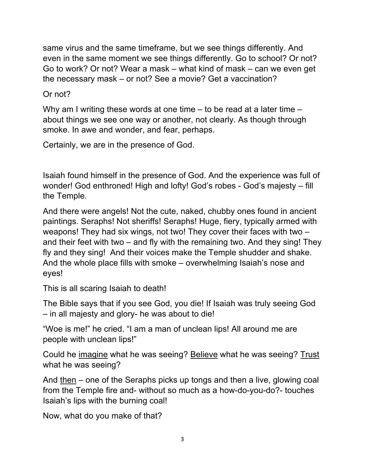same virus and the same timeframe, but we see things differently. And even in the same moment we see things differently. Go to school? Or not? Go to work? Or not? Wear a mask – what kind of mask – can we even get the necessary mask – or not? See a movie? Get a vaccination?

Or not?

Why am I writing these words at one time – to be read at a later time – about things we see one way or another, not clearly. As though through smoke. In awe and wonder, and fear, perhaps.

Certainly, we are in the presence of God.

Isaiah found himself in the presence of God. And the experience was full of wonder! God enthroned! High and lofty! God's robes - God's majesty – fill the Temple.

And there were angels! Not the cute, naked, chubby ones found in ancient paintings. Seraphs! Not sheriffs! Seraphs! Huge, fiery, typically armed with weapons! They had six wings, not two! They cover their faces with two – and their feet with two – and fly with the remaining two. And they sing! They fly and they sing! And their voices make the Temple shudder and shake. And the whole place fills with smoke – overwhelming Isaiah's nose and eyes!

This is all scaring Isaiah to death!

The Bible says that if you see God, you die! If Isaiah was truly seeing God – in all majesty and glory- he was about to die!

"Woe is me!" he cried. "I am a man of unclean lips! All around me are people with unclean lips!"

Could he imagine what he was seeing? Believe what he was seeing? Trust what he was seeing?

And then – one of the Seraphs picks up tongs and then a live, glowing coal from the Temple fire and- without so much as a how-do-you-do?- touches Isaiah's lips with the burning coal!

Now, what do you make of that?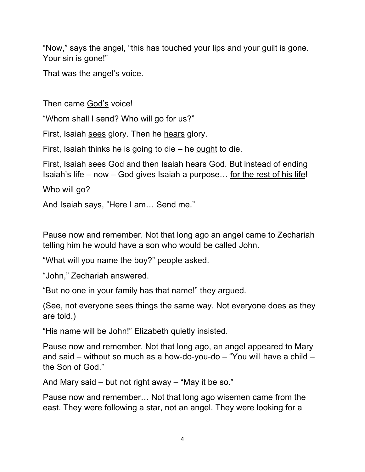"Now," says the angel, "this has touched your lips and your guilt is gone. Your sin is gone!"

That was the angel's voice.

Then came God's voice!

"Whom shall I send? Who will go for us?"

First, Isaiah sees glory. Then he hears glory.

First, Isaiah thinks he is going to die – he ought to die.

First, Isaiah sees God and then Isaiah hears God. But instead of ending Isaiah's life – now – God gives Isaiah a purpose… for the rest of his life!

Who will go?

And Isaiah says, "Here I am… Send me."

Pause now and remember. Not that long ago an angel came to Zechariah telling him he would have a son who would be called John.

"What will you name the boy?" people asked.

"John," Zechariah answered.

"But no one in your family has that name!" they argued.

(See, not everyone sees things the same way. Not everyone does as they are told.)

"His name will be John!" Elizabeth quietly insisted.

Pause now and remember. Not that long ago, an angel appeared to Mary and said – without so much as a how-do-you-do – "You will have a child – the Son of God."

And Mary said – but not right away – "May it be so."

Pause now and remember… Not that long ago wisemen came from the east. They were following a star, not an angel. They were looking for a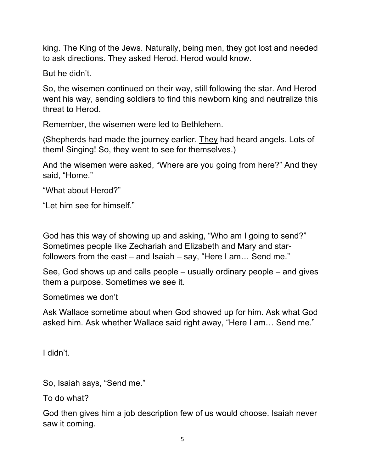king. The King of the Jews. Naturally, being men, they got lost and needed to ask directions. They asked Herod. Herod would know.

But he didn't.

So, the wisemen continued on their way, still following the star. And Herod went his way, sending soldiers to find this newborn king and neutralize this threat to Herod.

Remember, the wisemen were led to Bethlehem.

(Shepherds had made the journey earlier. They had heard angels. Lots of them! Singing! So, they went to see for themselves.)

And the wisemen were asked, "Where are you going from here?" And they said, "Home."

"What about Herod?"

"Let him see for himself."

God has this way of showing up and asking, "Who am I going to send?" Sometimes people like Zechariah and Elizabeth and Mary and starfollowers from the east – and Isaiah – say, "Here I am… Send me."

See, God shows up and calls people – usually ordinary people – and gives them a purpose. Sometimes we see it.

Sometimes we don't

Ask Wallace sometime about when God showed up for him. Ask what God asked him. Ask whether Wallace said right away, "Here I am… Send me."

I didn't.

So, Isaiah says, "Send me."

To do what?

God then gives him a job description few of us would choose. Isaiah never saw it coming.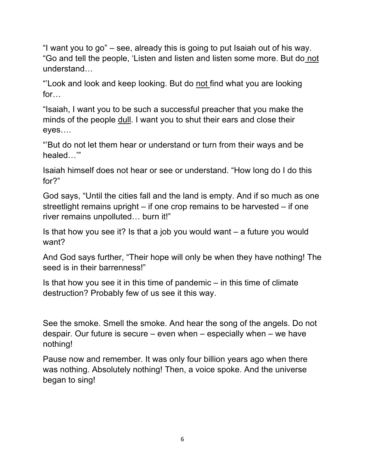"I want you to go" – see, already this is going to put Isaiah out of his way. "Go and tell the people, 'Listen and listen and listen some more. But do not understand…

"Look and look and keep looking. But do not find what you are looking for…

"Isaiah, I want you to be such a successful preacher that you make the minds of the people dull. I want you to shut their ears and close their eyes….

"'But do not let them hear or understand or turn from their ways and be healed…'"

Isaiah himself does not hear or see or understand. "How long do I do this for?"

God says, "Until the cities fall and the land is empty. And if so much as one streetlight remains upright – if one crop remains to be harvested – if one river remains unpolluted… burn it!"

Is that how you see it? Is that a job you would want – a future you would want?

And God says further, "Their hope will only be when they have nothing! The seed is in their barrenness!"

Is that how you see it in this time of pandemic  $-$  in this time of climate destruction? Probably few of us see it this way.

See the smoke. Smell the smoke. And hear the song of the angels. Do not despair. Our future is secure – even when – especially when – we have nothing!

Pause now and remember. It was only four billion years ago when there was nothing. Absolutely nothing! Then, a voice spoke. And the universe began to sing!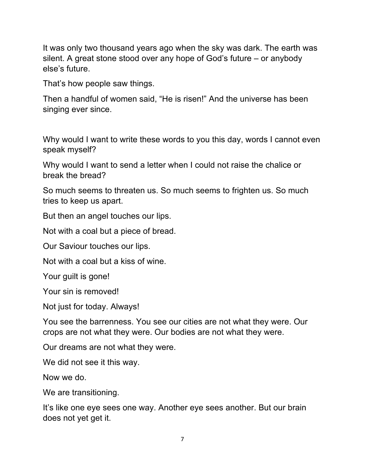It was only two thousand years ago when the sky was dark. The earth was silent. A great stone stood over any hope of God's future – or anybody else's future.

That's how people saw things.

Then a handful of women said, "He is risen!" And the universe has been singing ever since.

Why would I want to write these words to you this day, words I cannot even speak myself?

Why would I want to send a letter when I could not raise the chalice or break the bread?

So much seems to threaten us. So much seems to frighten us. So much tries to keep us apart.

But then an angel touches our lips.

Not with a coal but a piece of bread.

Our Saviour touches our lips.

Not with a coal but a kiss of wine.

Your guilt is gone!

Your sin is removed!

Not just for today. Always!

You see the barrenness. You see our cities are not what they were. Our crops are not what they were. Our bodies are not what they were.

Our dreams are not what they were.

We did not see it this way.

Now we do.

We are transitioning.

It's like one eye sees one way. Another eye sees another. But our brain does not yet get it.